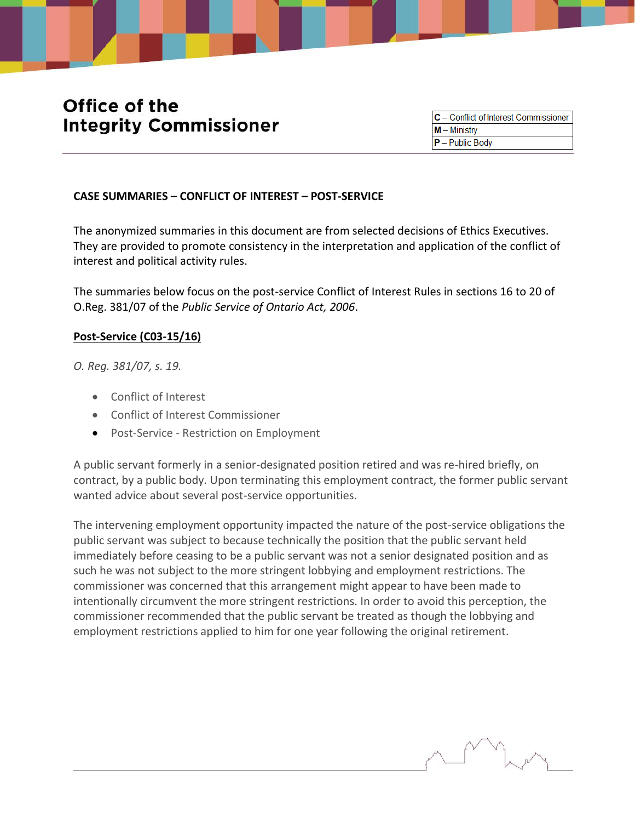# Office of the **Integrity Commissioner**

C - Conflict of Interest Commissioner  $M -$  Ministry  $P -$  Public Body

#### **CASE SUMMARIES – CONFLICT OF INTEREST – POST-SERVICE**

The anonymized summaries in this document are from selected decisions of Ethics Executives. They are provided to promote consistency in the interpretation and application of the conflict of interest and political activity rules.

The summaries below focus on the post-service Conflict of Interest Rules in sections 16 to 20 of O.Reg. 381/07 of the *Public Service of Ontario Act, 2006*.

#### **Post-Service (C03-15/16)**

*O. Reg. 381/07, s. 19.*

- Conflict of [Interest](http://www.coicommissioner.gov.on.ca/category/type-of-ethical-matter/conflict-of-interest/)
- Conflict of Interest [Commissioner](http://www.coicommissioner.gov.on.ca/category/source-of-decision/conflict-of-interest-commissioner/)
- Post-Service Restriction on [Employment](http://www.coicommissioner.gov.on.ca/category/type-of-rule/post-service-restriction-on-employment/)

A public servant formerly in a senior-designated position retired and was re-hired briefly, on contract, by a public body. Upon terminating this employment contract, the former public servant wanted advice about several post-service opportunities.

The intervening employment opportunity impacted the nature of the post-service obligations the public servant was subject to because technically the position that the public servant held immediately before ceasing to be a public servant was not a senior designated position and as such he was not subject to the more stringent lobbying and employment restrictions. The commissioner was concerned that this arrangement might appear to have been made to intentionally circumvent the more stringent restrictions. In order to avoid this perception, the commissioner recommended that the public servant be treated as though the lobbying and employment restrictions applied to him for one year following the original retirement.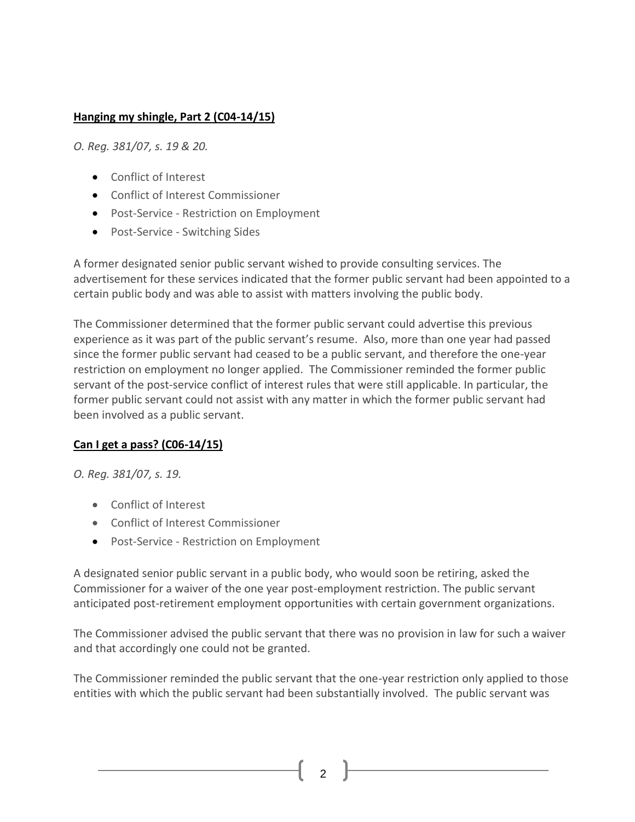# **Hanging my shingle, Part 2 (C04-14/15)**

*O. Reg. 381/07, s. 19 & 20.*

- Conflict of [Interest](http://www.coicommissioner.gov.on.ca/category/type-of-ethical-matter/conflict-of-interest/)
- Conflict of Interest [Commissioner](http://www.coicommissioner.gov.on.ca/category/source-of-decision/conflict-of-interest-commissioner/)
- Post-Service Restriction on [Employment](http://www.coicommissioner.gov.on.ca/category/type-of-rule/post-service-restriction-on-employment/)
- [Post-Service](http://www.coicommissioner.gov.on.ca/category/type-of-rule/post-service-switching-sides/) Switching Sides

A former designated senior public servant wished to provide consulting services. The advertisement for these services indicated that the former public servant had been appointed to a certain public body and was able to assist with matters involving the public body.

The Commissioner determined that the former public servant could advertise this previous experience as it was part of the public servant's resume. Also, more than one year had passed since the former public servant had ceased to be a public servant, and therefore the one-year restriction on employment no longer applied. The Commissioner reminded the former public servant of the post-service conflict of interest rules that were still applicable. In particular, the former public servant could not assist with any matter in which the former public servant had been involved as a public servant.

# **Can I get a pass? (C06-14/15)**

*O. Reg. 381/07, s. 19.*

- Conflict of [Interest](http://www.coicommissioner.gov.on.ca/category/type-of-ethical-matter/conflict-of-interest/)
- Conflict of Interest [Commissioner](http://www.coicommissioner.gov.on.ca/category/source-of-decision/conflict-of-interest-commissioner/)
- **•** Post-Service Restriction on [Employment](http://www.coicommissioner.gov.on.ca/category/type-of-rule/post-service-restriction-on-employment/)

A designated senior public servant in a public body, who would soon be retiring, asked the Commissioner for a waiver of the one year post-employment restriction. The public servant anticipated post-retirement employment opportunities with certain government organizations.

The Commissioner advised the public servant that there was no provision in law for such a waiver and that accordingly one could not be granted.

The Commissioner reminded the public servant that the one-year restriction only applied to those entities with which the public servant had been substantially involved. The public servant was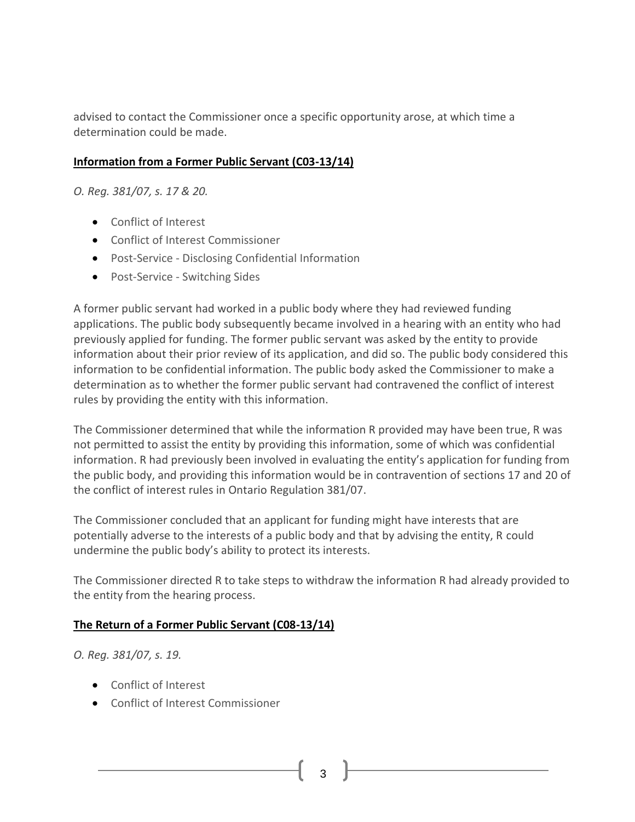advised to contact the Commissioner once a specific opportunity arose, at which time a determination could be made.

#### **Information from a Former Public Servant (C03-13/14)**

*O. Reg. 381/07, s. 17 & 20.*

- Conflict of [Interest](http://www.coicommissioner.gov.on.ca/category/type-of-ethical-matter/conflict-of-interest/)
- Conflict of Interest [Commissioner](http://www.coicommissioner.gov.on.ca/category/source-of-decision/conflict-of-interest-commissioner/)
- [Post-Service](http://www.coicommissioner.gov.on.ca/category/type-of-rule/post-service-disclosing-confidential-information/) Disclosing Confidential Information
- [Post-Service](http://www.coicommissioner.gov.on.ca/category/type-of-rule/post-service-switching-sides/) Switching Sides

A former public servant had worked in a public body where they had reviewed funding applications. The public body subsequently became involved in a hearing with an entity who had previously applied for funding. The former public servant was asked by the entity to provide information about their prior review of its application, and did so. The public body considered this information to be confidential information. The public body asked the Commissioner to make a determination as to whether the former public servant had contravened the conflict of interest rules by providing the entity with this information.

The Commissioner determined that while the information R provided may have been true, R was not permitted to assist the entity by providing this information, some of which was confidential information. R had previously been involved in evaluating the entity's application for funding from the public body, and providing this information would be in contravention of sections 17 and 20 of the conflict of interest rules in Ontario Regulation 381/07.

The Commissioner concluded that an applicant for funding might have interests that are potentially adverse to the interests of a public body and that by advising the entity, R could undermine the public body's ability to protect its interests.

The Commissioner directed R to take steps to withdraw the information R had already provided to the entity from the hearing process.

#### **The Return of a Former Public Servant (C08-13/14)**

*O. Reg. 381/07, s. 19.*

- Conflict of [Interest](http://www.coicommissioner.gov.on.ca/category/type-of-ethical-matter/conflict-of-interest/)
- Conflict of Interest [Commissioner](http://www.coicommissioner.gov.on.ca/category/source-of-decision/conflict-of-interest-commissioner/)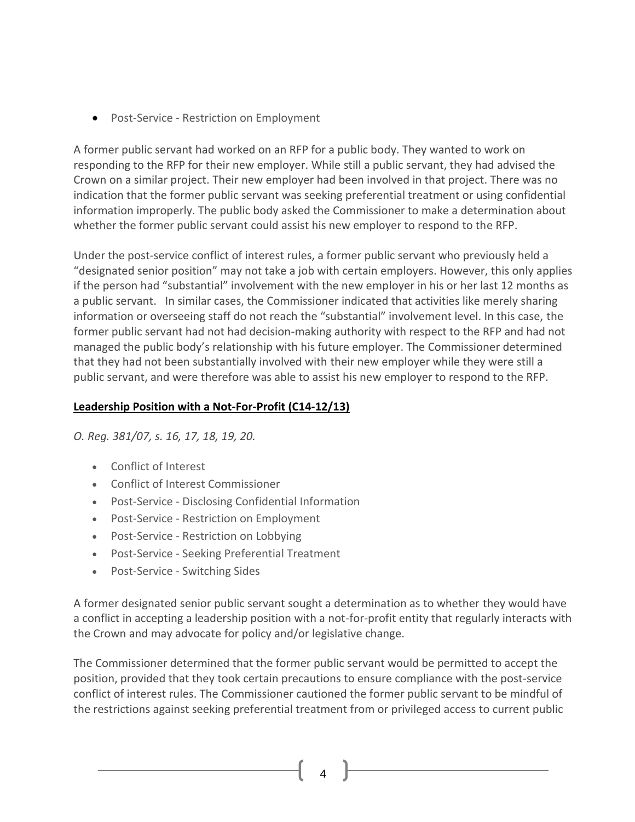**•** Post-Service - Restriction on [Employment](http://www.coicommissioner.gov.on.ca/category/type-of-rule/post-service-restriction-on-employment/)

A former public servant had worked on an RFP for a public body. They wanted to work on responding to the RFP for their new employer. While still a public servant, they had advised the Crown on a similar project. Their new employer had been involved in that project. There was no indication that the former public servant was seeking preferential treatment or using confidential information improperly. The public body asked the Commissioner to make a determination about whether the former public servant could assist his new employer to respond to the RFP.

Under the post-service conflict of interest rules, a former public servant who previously held a "designated senior position" may not take a job with certain employers. However, this only applies if the person had "substantial" involvement with the new employer in his or her last 12 months as a public servant. In similar cases, the Commissioner indicated that activities like merely sharing information or overseeing staff do not reach the "substantial" involvement level. In this case, the former public servant had not had decision-making authority with respect to the RFP and had not managed the public body's relationship with his future employer. The Commissioner determined that they had not been substantially involved with their new employer while they were still a public servant, and were therefore was able to assist his new employer to respond to the RFP.

## **Leadership Position with a Not-For-Profit (C14-12/13)**

*O. Reg. 381/07, s. 16, 17, 18, 19, 20.*

- Conflict of [Interest](http://www.coicommissioner.gov.on.ca/category/type-of-ethical-matter/conflict-of-interest/)
- Conflict of Interest [Commissioner](http://www.coicommissioner.gov.on.ca/category/source-of-decision/conflict-of-interest-commissioner/)
- [Post-Service](http://www.coicommissioner.gov.on.ca/category/type-of-rule/post-service-disclosing-confidential-information/) Disclosing Confidential Information
- Post-Service Restriction on [Employment](http://www.coicommissioner.gov.on.ca/category/type-of-rule/post-service-restriction-on-employment/)
- [Post-Service](http://www.coicommissioner.gov.on.ca/category/type-of-rule/post-service-restriction-on-lobbying/) Restriction on Lobbying
- [Post-Service](http://www.coicommissioner.gov.on.ca/category/type-of-rule/post-service-seeking-preferential-treatment/) Seeking Preferential Treatment
- [Post-Service](http://www.coicommissioner.gov.on.ca/category/type-of-rule/post-service-switching-sides/) Switching Sides

A former designated senior public servant sought a determination as to whether they would have a conflict in accepting a leadership position with a not-for-profit entity that regularly interacts with the Crown and may advocate for policy and/or legislative change.

The Commissioner determined that the former public servant would be permitted to accept the position, provided that they took certain precautions to ensure compliance with the post-service conflict of interest rules. The Commissioner cautioned the former public servant to be mindful of the restrictions against seeking preferential treatment from or privileged access to current public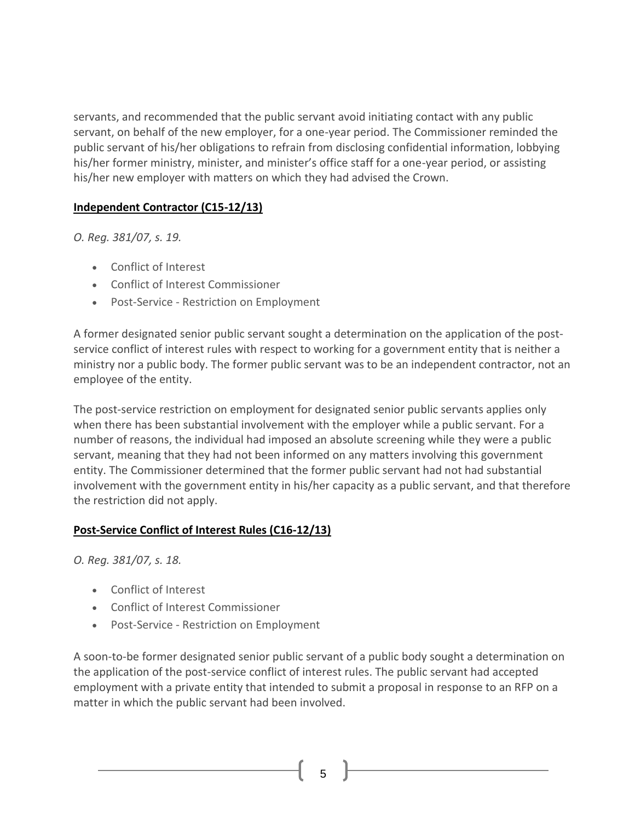servants, and recommended that the public servant avoid initiating contact with any public servant, on behalf of the new employer, for a one-year period. The Commissioner reminded the public servant of his/her obligations to refrain from disclosing confidential information, lobbying his/her former ministry, minister, and minister's office staff for a one-year period, or assisting his/her new employer with matters on which they had advised the Crown.

# **Independent Contractor (C15-12/13)**

*O. Reg. 381/07, s. 19.*

- Conflict of [Interest](http://www.coicommissioner.gov.on.ca/category/type-of-ethical-matter/conflict-of-interest/)
- Conflict of Interest [Commissioner](http://www.coicommissioner.gov.on.ca/category/source-of-decision/conflict-of-interest-commissioner/)
- Post-Service Restriction on [Employment](http://www.coicommissioner.gov.on.ca/category/type-of-rule/post-service-restriction-on-employment/)

A former designated senior public servant sought a determination on the application of the postservice conflict of interest rules with respect to working for a government entity that is neither a ministry nor a public body. The former public servant was to be an independent contractor, not an employee of the entity.

The post-service restriction on employment for designated senior public servants applies only when there has been substantial involvement with the employer while a public servant. For a number of reasons, the individual had imposed an absolute screening while they were a public servant, meaning that they had not been informed on any matters involving this government entity. The Commissioner determined that the former public servant had not had substantial involvement with the government entity in his/her capacity as a public servant, and that therefore the restriction did not apply.

#### **Post-Service Conflict of Interest Rules (C16-12/13)**

*O. Reg. 381/07, s. 18.*

- Conflict of [Interest](http://www.coicommissioner.gov.on.ca/category/type-of-ethical-matter/conflict-of-interest/)
- Conflict of Interest [Commissioner](http://www.coicommissioner.gov.on.ca/category/source-of-decision/conflict-of-interest-commissioner/)
- Post-Service Restriction on [Employment](http://www.coicommissioner.gov.on.ca/category/type-of-rule/post-service-restriction-on-employment/)

A soon-to-be former designated senior public servant of a public body sought a determination on the application of the post-service conflict of interest rules. The public servant had accepted employment with a private entity that intended to submit a proposal in response to an RFP on a matter in which the public servant had been involved.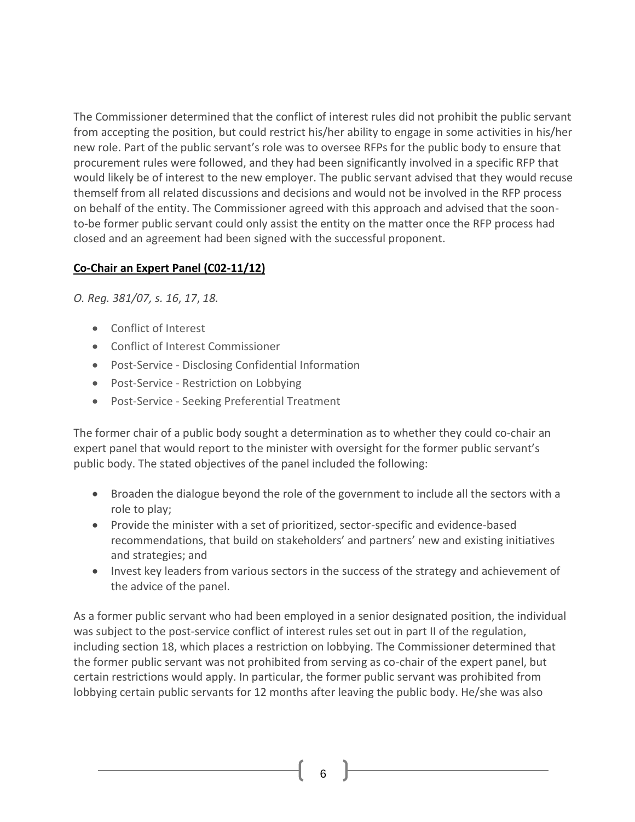The Commissioner determined that the conflict of interest rules did not prohibit the public servant from accepting the position, but could restrict his/her ability to engage in some activities in his/her new role. Part of the public servant's role was to oversee RFPs for the public body to ensure that procurement rules were followed, and they had been significantly involved in a specific RFP that would likely be of interest to the new employer. The public servant advised that they would recuse themself from all related discussions and decisions and would not be involved in the RFP process on behalf of the entity. The Commissioner agreed with this approach and advised that the soonto-be former public servant could only assist the entity on the matter once the RFP process had closed and an agreement had been signed with the successful proponent.

# **Co-Chair an Expert Panel (C02-11/12)**

*O. Reg. 381/07, s. 16*, *17*, *18.*

- Conflict of [Interest](http://www.coicommissioner.gov.on.ca/category/type-of-ethical-matter/conflict-of-interest/)
- Conflict of Interest [Commissioner](http://www.coicommissioner.gov.on.ca/category/source-of-decision/conflict-of-interest-commissioner/)
- [Post-Service](http://www.coicommissioner.gov.on.ca/category/type-of-rule/post-service-disclosing-confidential-information/) Disclosing Confidential Information
- [Post-Service](http://www.coicommissioner.gov.on.ca/category/type-of-rule/post-service-restriction-on-lobbying/) Restriction on Lobbying
- [Post-Service](http://www.coicommissioner.gov.on.ca/category/type-of-rule/post-service-seeking-preferential-treatment/) Seeking Preferential Treatment

The former chair of a public body sought a determination as to whether they could co-chair an expert panel that would report to the minister with oversight for the former public servant's public body. The stated objectives of the panel included the following:

- Broaden the dialogue beyond the role of the government to include all the sectors with a role to play;
- Provide the minister with a set of prioritized, sector-specific and evidence-based recommendations, that build on stakeholders' and partners' new and existing initiatives and strategies; and
- Invest key leaders from various sectors in the success of the strategy and achievement of the advice of the panel.

As a former public servant who had been employed in a senior designated position, the individual was subject to the post-service conflict of interest rules set out in part II of the regulation, including section 18, which places a restriction on lobbying. The Commissioner determined that the former public servant was not prohibited from serving as co-chair of the expert panel, but certain restrictions would apply. In particular, the former public servant was prohibited from lobbying certain public servants for 12 months after leaving the public body. He/she was also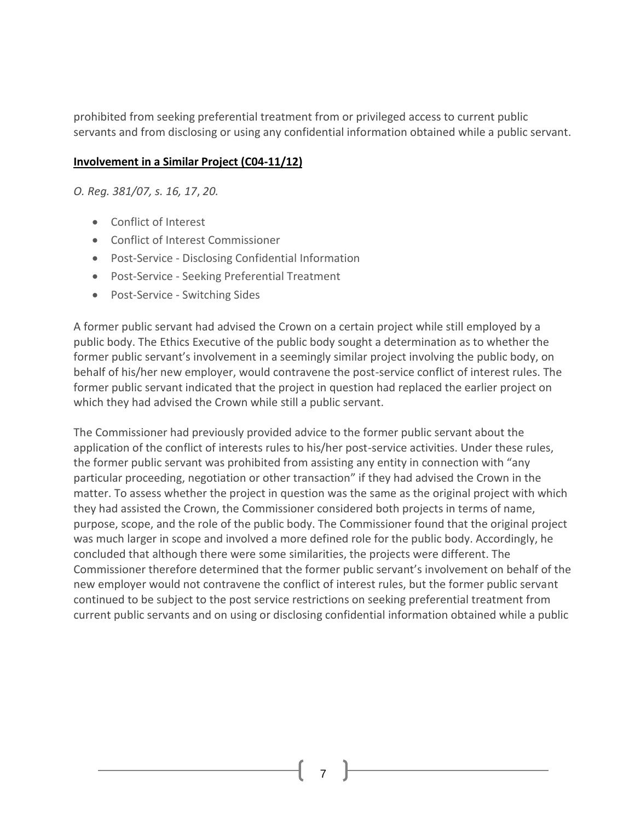prohibited from seeking preferential treatment from or privileged access to current public servants and from disclosing or using any confidential information obtained while a public servant.

### **Involvement in a Similar Project (C04-11/12)**

*O. Reg. 381/07, s. 16, 17*, *20.*

- Conflict of [Interest](http://www.coicommissioner.gov.on.ca/category/type-of-ethical-matter/conflict-of-interest/)
- Conflict of Interest [Commissioner](http://www.coicommissioner.gov.on.ca/category/source-of-decision/conflict-of-interest-commissioner/)
- [Post-Service](http://www.coicommissioner.gov.on.ca/category/type-of-rule/post-service-disclosing-confidential-information/) Disclosing Confidential Information
- [Post-Service](http://www.coicommissioner.gov.on.ca/category/type-of-rule/post-service-seeking-preferential-treatment/) Seeking Preferential Treatment
- [Post-Service](http://www.coicommissioner.gov.on.ca/category/type-of-rule/post-service-switching-sides/) Switching Sides

A former public servant had advised the Crown on a certain project while still employed by a public body. The Ethics Executive of the public body sought a determination as to whether the former public servant's involvement in a seemingly similar project involving the public body, on behalf of his/her new employer, would contravene the post-service conflict of interest rules. The former public servant indicated that the project in question had replaced the earlier project on which they had advised the Crown while still a public servant.

The Commissioner had previously provided advice to the former public servant about the application of the conflict of interests rules to his/her post-service activities. Under these rules, the former public servant was prohibited from assisting any entity in connection with "any particular proceeding, negotiation or other transaction" if they had advised the Crown in the matter. To assess whether the project in question was the same as the original project with which they had assisted the Crown, the Commissioner considered both projects in terms of name, purpose, scope, and the role of the public body. The Commissioner found that the original project was much larger in scope and involved a more defined role for the public body. Accordingly, he concluded that although there were some similarities, the projects were different. The Commissioner therefore determined that the former public servant's involvement on behalf of the new employer would not contravene the conflict of interest rules, but the former public servant continued to be subject to the post service restrictions on seeking preferential treatment from current public servants and on using or disclosing confidential information obtained while a public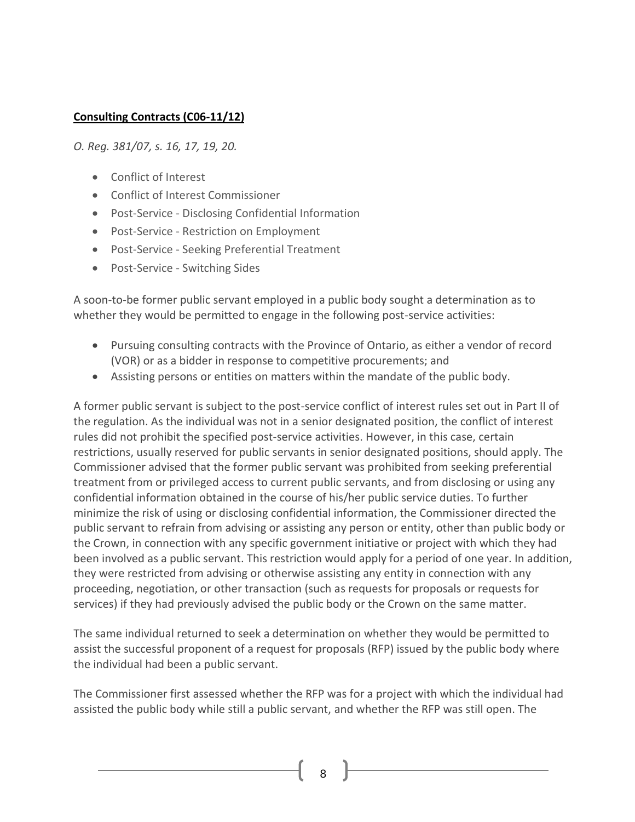## **Consulting Contracts (C06-11/12)**

*O. Reg. 381/07, s. 16, 17, 19, 20.*

- Conflict of [Interest](http://www.coicommissioner.gov.on.ca/category/type-of-ethical-matter/conflict-of-interest/)
- Conflict of Interest [Commissioner](http://www.coicommissioner.gov.on.ca/category/source-of-decision/conflict-of-interest-commissioner/)
- [Post-Service](http://www.coicommissioner.gov.on.ca/category/type-of-rule/post-service-disclosing-confidential-information/) Disclosing Confidential Information
- Post-Service Restriction on [Employment](http://www.coicommissioner.gov.on.ca/category/type-of-rule/post-service-restriction-on-employment/)
- [Post-Service](http://www.coicommissioner.gov.on.ca/category/type-of-rule/post-service-seeking-preferential-treatment/) Seeking Preferential Treatment
- [Post-Service](http://www.coicommissioner.gov.on.ca/category/type-of-rule/post-service-switching-sides/) Switching Sides

A soon-to-be former public servant employed in a public body sought a determination as to whether they would be permitted to engage in the following post-service activities:

- Pursuing consulting contracts with the Province of Ontario, as either a vendor of record (VOR) or as a bidder in response to competitive procurements; and
- Assisting persons or entities on matters within the mandate of the public body.

A former public servant is subject to the post-service conflict of interest rules set out in Part II of the regulation. As the individual was not in a senior designated position, the conflict of interest rules did not prohibit the specified post-service activities. However, in this case, certain restrictions, usually reserved for public servants in senior designated positions, should apply. The Commissioner advised that the former public servant was prohibited from seeking preferential treatment from or privileged access to current public servants, and from disclosing or using any confidential information obtained in the course of his/her public service duties. To further minimize the risk of using or disclosing confidential information, the Commissioner directed the public servant to refrain from advising or assisting any person or entity, other than public body or the Crown, in connection with any specific government initiative or project with which they had been involved as a public servant. This restriction would apply for a period of one year. In addition, they were restricted from advising or otherwise assisting any entity in connection with any proceeding, negotiation, or other transaction (such as requests for proposals or requests for services) if they had previously advised the public body or the Crown on the same matter.

The same individual returned to seek a determination on whether they would be permitted to assist the successful proponent of a request for proposals (RFP) issued by the public body where the individual had been a public servant.

The Commissioner first assessed whether the RFP was for a project with which the individual had assisted the public body while still a public servant, and whether the RFP was still open. The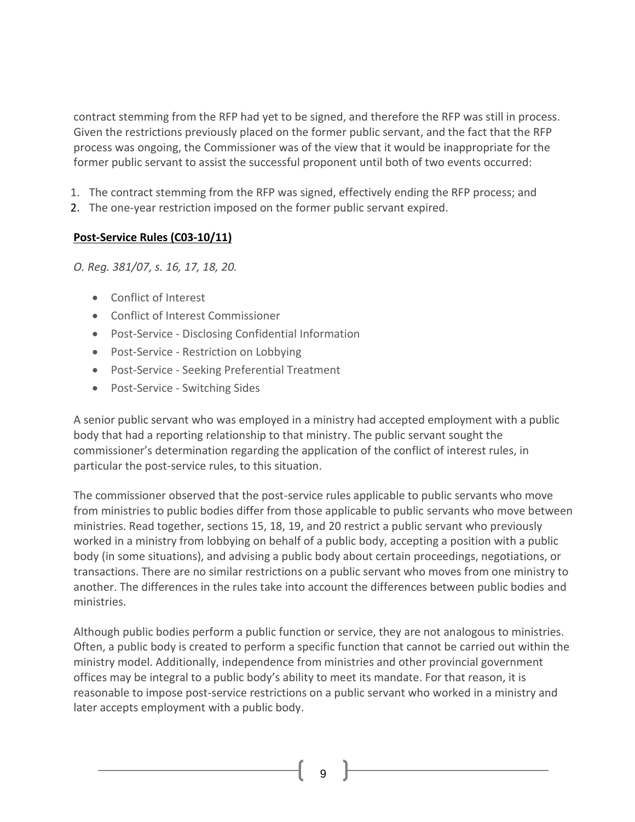contract stemming from the RFP had yet to be signed, and therefore the RFP was still in process. Given the restrictions previously placed on the former public servant, and the fact that the RFP process was ongoing, the Commissioner was of the view that it would be inappropriate for the former public servant to assist the successful proponent until both of two events occurred:

- 1. The contract stemming from the RFP was signed, effectively ending the RFP process; and
- 2. The one-year restriction imposed on the former public servant expired.

## **Post-Service Rules (C03-10/11)**

*O. Reg. 381/07, s. 16, 17, 18, 20.*

- Conflict of [Interest](http://www.coicommissioner.gov.on.ca/category/type-of-ethical-matter/conflict-of-interest/)
- Conflict of Interest [Commissioner](http://www.coicommissioner.gov.on.ca/category/source-of-decision/conflict-of-interest-commissioner/)
- [Post-Service](http://www.coicommissioner.gov.on.ca/category/type-of-rule/post-service-disclosing-confidential-information/) Disclosing Confidential Information
- [Post-Service](http://www.coicommissioner.gov.on.ca/category/type-of-rule/post-service-restriction-on-lobbying/) Restriction on Lobbying
- [Post-Service](http://www.coicommissioner.gov.on.ca/category/type-of-rule/post-service-seeking-preferential-treatment/) Seeking Preferential Treatment
- [Post-Service](http://www.coicommissioner.gov.on.ca/category/type-of-rule/post-service-switching-sides/) Switching Sides

A senior public servant who was employed in a ministry had accepted employment with a public body that had a reporting relationship to that ministry. The public servant sought the commissioner's determination regarding the application of the conflict of interest rules, in particular the post-service rules, to this situation.

The commissioner observed that the post-service rules applicable to public servants who move from ministries to public bodies differ from those applicable to public servants who move between ministries. Read together, sections 15, 18, 19, and 20 restrict a public servant who previously worked in a ministry from lobbying on behalf of a public body, accepting a position with a public body (in some situations), and advising a public body about certain proceedings, negotiations, or transactions. There are no similar restrictions on a public servant who moves from one ministry to another. The differences in the rules take into account the differences between public bodies and ministries.

Although public bodies perform a public function or service, they are not analogous to ministries. Often, a public body is created to perform a specific function that cannot be carried out within the ministry model. Additionally, independence from ministries and other provincial government offices may be integral to a public body's ability to meet its mandate. For that reason, it is reasonable to impose post-service restrictions on a public servant who worked in a ministry and later accepts employment with a public body.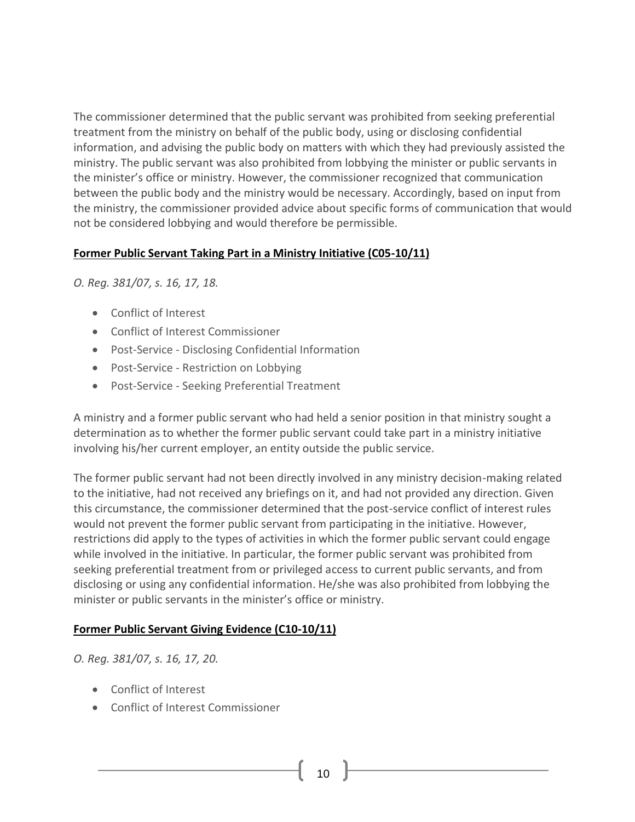The commissioner determined that the public servant was prohibited from seeking preferential treatment from the ministry on behalf of the public body, using or disclosing confidential information, and advising the public body on matters with which they had previously assisted the ministry. The public servant was also prohibited from lobbying the minister or public servants in the minister's office or ministry. However, the commissioner recognized that communication between the public body and the ministry would be necessary. Accordingly, based on input from the ministry, the commissioner provided advice about specific forms of communication that would not be considered lobbying and would therefore be permissible.

#### **Former Public Servant Taking Part in a Ministry Initiative (C05-10/11)**

*O. Reg. 381/07, s. 16, 17, 18.*

- Conflict of [Interest](http://www.coicommissioner.gov.on.ca/category/type-of-ethical-matter/conflict-of-interest/)
- Conflict of Interest [Commissioner](http://www.coicommissioner.gov.on.ca/category/source-of-decision/conflict-of-interest-commissioner/)
- [Post-Service](http://www.coicommissioner.gov.on.ca/category/type-of-rule/post-service-disclosing-confidential-information/) Disclosing Confidential Information
- [Post-Service](http://www.coicommissioner.gov.on.ca/category/type-of-rule/post-service-restriction-on-lobbying/) Restriction on Lobbying
- [Post-Service](http://www.coicommissioner.gov.on.ca/category/type-of-rule/post-service-seeking-preferential-treatment/) Seeking Preferential Treatment

A ministry and a former public servant who had held a senior position in that ministry sought a determination as to whether the former public servant could take part in a ministry initiative involving his/her current employer, an entity outside the public service.

The former public servant had not been directly involved in any ministry decision-making related to the initiative, had not received any briefings on it, and had not provided any direction. Given this circumstance, the commissioner determined that the post-service conflict of interest rules would not prevent the former public servant from participating in the initiative. However, restrictions did apply to the types of activities in which the former public servant could engage while involved in the initiative. In particular, the former public servant was prohibited from seeking preferential treatment from or privileged access to current public servants, and from disclosing or using any confidential information. He/she was also prohibited from lobbying the minister or public servants in the minister's office or ministry.

#### **Former Public Servant Giving Evidence (C10-10/11)**

*O. Reg. 381/07, s. 16, 17, 20.*

- Conflict of [Interest](http://www.coicommissioner.gov.on.ca/category/type-of-ethical-matter/conflict-of-interest/)
- Conflict of Interest [Commissioner](http://www.coicommissioner.gov.on.ca/category/source-of-decision/conflict-of-interest-commissioner/)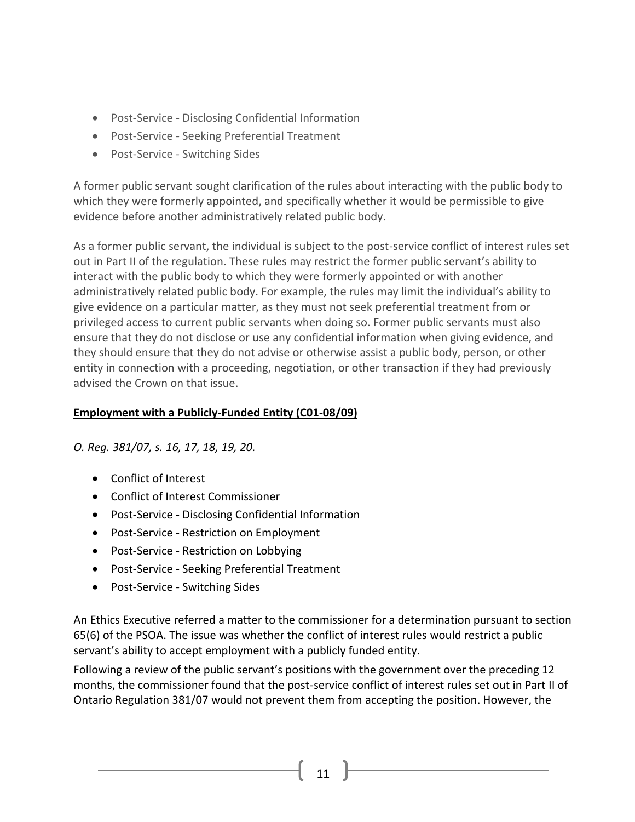- [Post-Service](http://www.coicommissioner.gov.on.ca/category/type-of-rule/post-service-disclosing-confidential-information/) Disclosing Confidential Information
- [Post-Service](http://www.coicommissioner.gov.on.ca/category/type-of-rule/post-service-seeking-preferential-treatment/) Seeking Preferential Treatment
- [Post-Service](http://www.coicommissioner.gov.on.ca/category/type-of-rule/post-service-switching-sides/) Switching Sides

A former public servant sought clarification of the rules about interacting with the public body to which they were formerly appointed, and specifically whether it would be permissible to give evidence before another administratively related public body.

As a former public servant, the individual is subject to the post-service conflict of interest rules set out in Part II of the regulation. These rules may restrict the former public servant's ability to interact with the public body to which they were formerly appointed or with another administratively related public body. For example, the rules may limit the individual's ability to give evidence on a particular matter, as they must not seek preferential treatment from or privileged access to current public servants when doing so. Former public servants must also ensure that they do not disclose or use any confidential information when giving evidence, and they should ensure that they do not advise or otherwise assist a public body, person, or other entity in connection with a proceeding, negotiation, or other transaction if they had previously advised the Crown on that issue.

# **Employment with a Publicly-Funded Entity (C01-08/09)**

*O. Reg. 381/07, s. 16, 17, 18, 19, 20.*

- Conflict of Interest
- Conflict of Interest Commissioner
- Post-Service Disclosing Confidential Information
- Post-Service Restriction on Employment
- Post-Service Restriction on Lobbying
- Post-Service Seeking Preferential Treatment
- Post-Service Switching Sides

An Ethics Executive referred a matter to the commissioner for a determination pursuant to section 65(6) of the PSOA. The issue was whether the conflict of interest rules would restrict a public servant's ability to accept employment with a publicly funded entity.

Following a review of the public servant's positions with the government over the preceding 12 months, the commissioner found that the post-service conflict of interest rules set out in Part II of Ontario Regulation 381/07 would not prevent them from accepting the position. However, the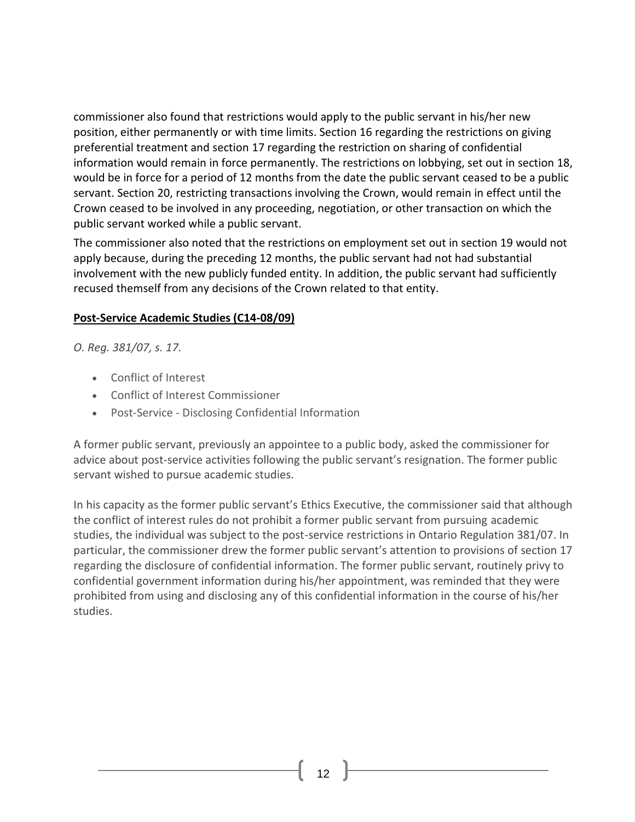commissioner also found that restrictions would apply to the public servant in his/her new position, either permanently or with time limits. Section 16 regarding the restrictions on giving preferential treatment and section 17 regarding the restriction on sharing of confidential information would remain in force permanently. The restrictions on lobbying, set out in section 18, would be in force for a period of 12 months from the date the public servant ceased to be a public servant. Section 20, restricting transactions involving the Crown, would remain in effect until the Crown ceased to be involved in any proceeding, negotiation, or other transaction on which the public servant worked while a public servant.

The commissioner also noted that the restrictions on employment set out in section 19 would not apply because, during the preceding 12 months, the public servant had not had substantial involvement with the new publicly funded entity. In addition, the public servant had sufficiently recused themself from any decisions of the Crown related to that entity.

#### **Post-Service Academic Studies (C14-08/09)**

*O. Reg. 381/07, s. 17.*

- Conflict of [Interest](http://www.coicommissioner.gov.on.ca/category/type-of-ethical-matter/conflict-of-interest/)
- Conflict of Interest [Commissioner](http://www.coicommissioner.gov.on.ca/category/source-of-decision/conflict-of-interest-commissioner/)
- [Post-Service](http://www.coicommissioner.gov.on.ca/category/type-of-rule/post-service-disclosing-confidential-information/) Disclosing Confidential Information

A former public servant, previously an appointee to a public body, asked the commissioner for advice about post-service activities following the public servant's resignation. The former public servant wished to pursue academic studies.

In his capacity as the former public servant's Ethics Executive, the commissioner said that although the conflict of interest rules do not prohibit a former public servant from pursuing academic studies, the individual was subject to the post-service restrictions in Ontario Regulation 381/07. In particular, the commissioner drew the former public servant's attention to provisions of section 17 regarding the disclosure of confidential information. The former public servant, routinely privy to confidential government information during his/her appointment, was reminded that they were prohibited from using and disclosing any of this confidential information in the course of his/her studies.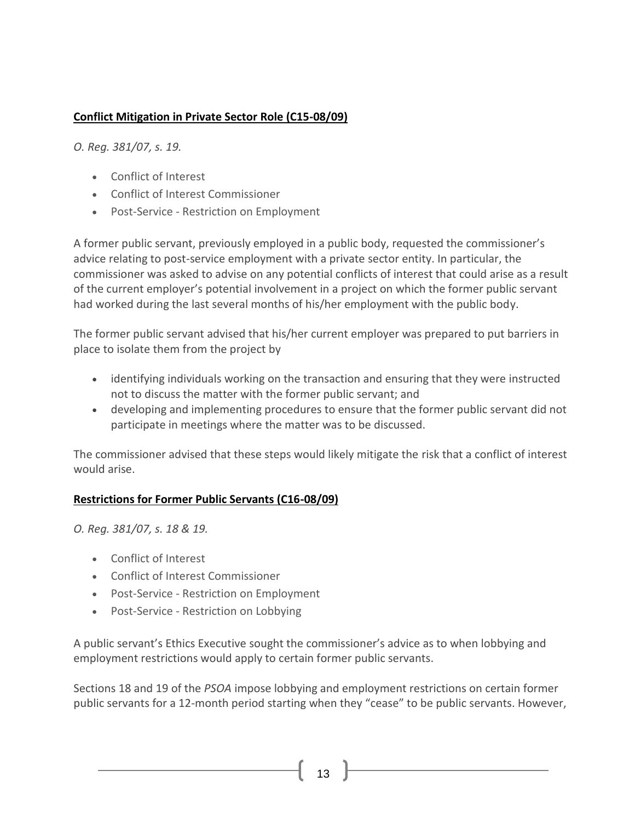# **Conflict Mitigation in Private Sector Role (C15-08/09)**

*O. Reg. 381/07, s. 19.*

- Conflict of [Interest](http://www.coicommissioner.gov.on.ca/category/type-of-ethical-matter/conflict-of-interest/)
- Conflict of Interest [Commissioner](http://www.coicommissioner.gov.on.ca/category/source-of-decision/conflict-of-interest-commissioner/)
- Post-Service Restriction on [Employment](http://www.coicommissioner.gov.on.ca/category/type-of-rule/post-service-restriction-on-employment/)

A former public servant, previously employed in a public body, requested the commissioner's advice relating to post-service employment with a private sector entity. In particular, the commissioner was asked to advise on any potential conflicts of interest that could arise as a result of the current employer's potential involvement in a project on which the former public servant had worked during the last several months of his/her employment with the public body.

The former public servant advised that his/her current employer was prepared to put barriers in place to isolate them from the project by

- identifying individuals working on the transaction and ensuring that they were instructed not to discuss the matter with the former public servant; and
- developing and implementing procedures to ensure that the former public servant did not participate in meetings where the matter was to be discussed.

The commissioner advised that these steps would likely mitigate the risk that a conflict of interest would arise.

#### **Restrictions for Former Public Servants (C16-08/09)**

*O. Reg. 381/07, s. 18 & 19.*

- Conflict of [Interest](http://www.coicommissioner.gov.on.ca/category/type-of-ethical-matter/conflict-of-interest/)
- Conflict of Interest [Commissioner](http://www.coicommissioner.gov.on.ca/category/source-of-decision/conflict-of-interest-commissioner/)
- Post-Service Restriction on [Employment](http://www.coicommissioner.gov.on.ca/category/type-of-rule/post-service-restriction-on-employment/)
- [Post-Service](http://www.coicommissioner.gov.on.ca/category/type-of-rule/post-service-restriction-on-lobbying/) Restriction on Lobbying

A public servant's Ethics Executive sought the commissioner's advice as to when lobbying and employment restrictions would apply to certain former public servants.

Sections 18 and 19 of the *PSOA* impose lobbying and employment restrictions on certain former public servants for a 12-month period starting when they "cease" to be public servants. However,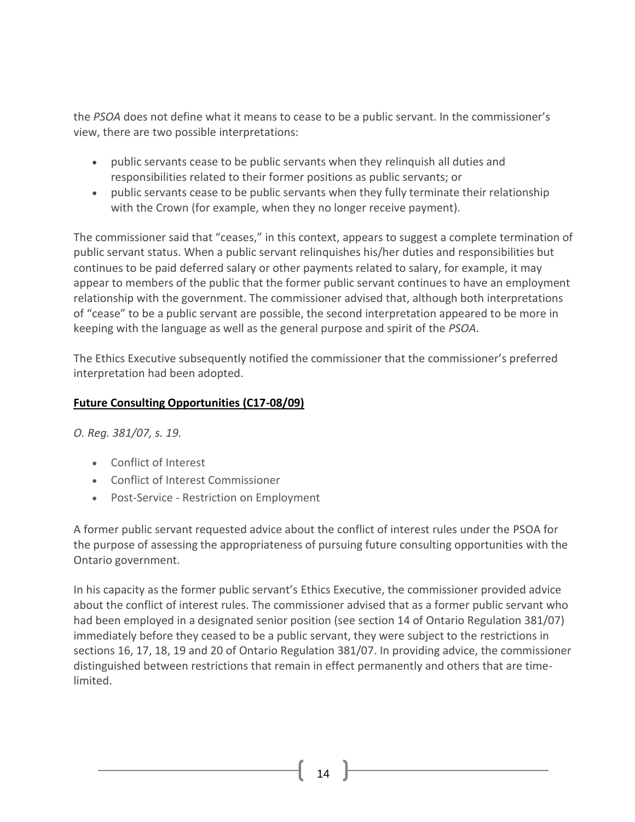the *PSOA* does not define what it means to cease to be a public servant. In the commissioner's view, there are two possible interpretations:

- public servants cease to be public servants when they relinquish all duties and responsibilities related to their former positions as public servants; or
- public servants cease to be public servants when they fully terminate their relationship with the Crown (for example, when they no longer receive payment).

The commissioner said that "ceases," in this context, appears to suggest a complete termination of public servant status. When a public servant relinquishes his/her duties and responsibilities but continues to be paid deferred salary or other payments related to salary, for example, it may appear to members of the public that the former public servant continues to have an employment relationship with the government. The commissioner advised that, although both interpretations of "cease" to be a public servant are possible, the second interpretation appeared to be more in keeping with the language as well as the general purpose and spirit of the *PSOA*.

The Ethics Executive subsequently notified the commissioner that the commissioner's preferred interpretation had been adopted.

## **Future Consulting Opportunities (C17-08/09)**

*O. Reg. 381/07, s. 19.*

- Conflict of [Interest](http://www.coicommissioner.gov.on.ca/category/type-of-ethical-matter/conflict-of-interest/)
- Conflict of Interest [Commissioner](http://www.coicommissioner.gov.on.ca/category/source-of-decision/conflict-of-interest-commissioner/)
- Post-Service Restriction on [Employment](http://www.coicommissioner.gov.on.ca/category/type-of-rule/post-service-restriction-on-employment/)

A former public servant requested advice about the conflict of interest rules under the PSOA for the purpose of assessing the appropriateness of pursuing future consulting opportunities with the Ontario government.

In his capacity as the former public servant's Ethics Executive, the commissioner provided advice about the conflict of interest rules. The commissioner advised that as a former public servant who had been employed in a designated senior position (see section 14 of Ontario Regulation 381/07) immediately before they ceased to be a public servant, they were subject to the restrictions in sections 16, 17, 18, 19 and 20 of Ontario Regulation 381/07. In providing advice, the commissioner distinguished between restrictions that remain in effect permanently and others that are timelimited.